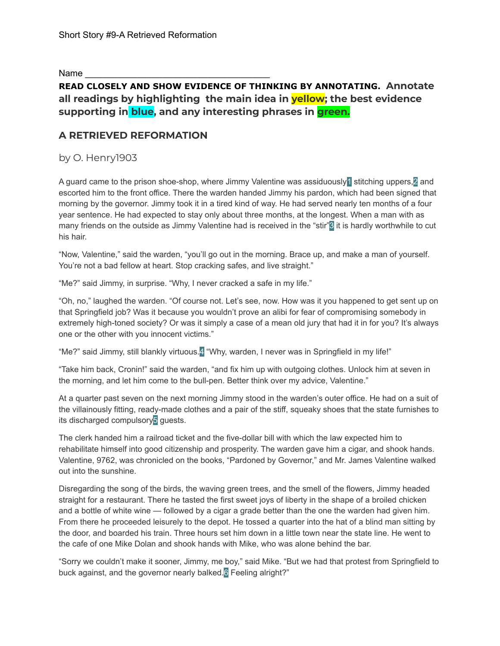Name

# **READ CLOSELY AND SHOW EVIDENCE OF THINKING BY ANNOTATING. Annotate all readings by highlighting the main idea in yellow; the best evidence supporting in blue, and any interesting phrases in green.**

## **A RETRIEVED REFORMATION**

by O. Henry1903

A guard came to the prison shoe-shop, where Jimmy Valentine was assiduously1 stitching uppers,2 and escorted him to the front office. There the warden handed Jimmy his pardon, which had been signed that morning by the governor. Jimmy took it in a tired kind of way. He had served nearly ten months of a four year sentence. He had expected to stay only about three months, at the longest. When a man with as many friends on the outside as Jimmy Valentine had is received in the "stir"<sup>3</sup> it is hardly worthwhile to cut his hair.

"Now, Valentine," said the warden, "you'll go out in the morning. Brace up, and make a man of yourself. You're not a bad fellow at heart. Stop cracking safes, and live straight."

"Me?" said Jimmy, in surprise. "Why, I never cracked a safe in my life."

"Oh, no," laughed the warden. "Of course not. Let's see, now. How was it you happened to get sent up on that Springfield job? Was it because you wouldn't prove an alibi for fear of compromising somebody in extremely high-toned society? Or was it simply a case of a mean old jury that had it in for you? It's always one or the other with you innocent victims."

"Me?" said Jimmy, still blankly virtuous.<sup>4</sup> "Why, warden, I never was in Springfield in my life!"

"Take him back, Cronin!" said the warden, "and fix him up with outgoing clothes. Unlock him at seven in the morning, and let him come to the bull-pen. Better think over my advice, Valentine."

At a quarter past seven on the next morning Jimmy stood in the warden's outer office. He had on a suit of the villainously fitting, ready-made clothes and a pair of the stiff, squeaky shoes that the state furnishes to its discharged compulsory<sup>5</sup> guests.

The clerk handed him a railroad ticket and the five-dollar bill with which the law expected him to rehabilitate himself into good citizenship and prosperity. The warden gave him a cigar, and shook hands. Valentine, 9762, was chronicled on the books, "Pardoned by Governor," and Mr. James Valentine walked out into the sunshine.

Disregarding the song of the birds, the waving green trees, and the smell of the flowers, Jimmy headed straight for a restaurant. There he tasted the first sweet joys of liberty in the shape of a broiled chicken and a bottle of white wine — followed by a cigar a grade better than the one the warden had given him. From there he proceeded leisurely to the depot. He tossed a quarter into the hat of a blind man sitting by the door, and boarded his train. Three hours set him down in a little town near the state line. He went to the cafe of one Mike Dolan and shook hands with Mike, who was alone behind the bar.

"Sorry we couldn't make it sooner, Jimmy, me boy," said Mike. "But we had that protest from Springfield to buck against, and the governor nearly balked.<sup>6</sup> Feeling alright?"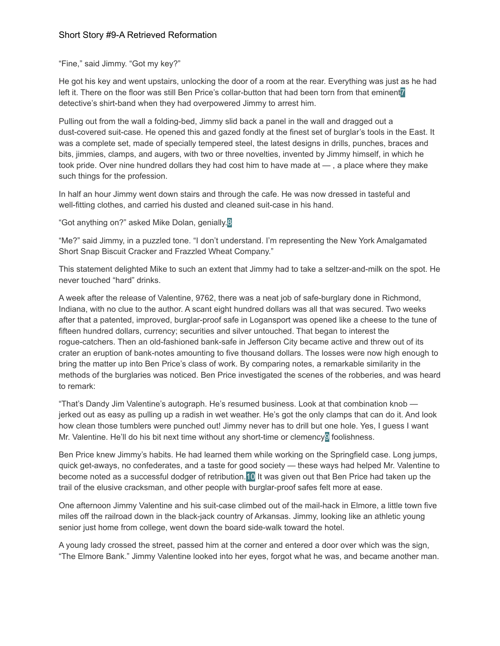### Short Story #9-A Retrieved Reformation

"Fine," said Jimmy. "Got my key?"

He got his key and went upstairs, unlocking the door of a room at the rear. Everything was just as he had left it. There on the floor was still Ben Price's collar-button that had been torn from that eminent<sup>7</sup> detective's shirt-band when they had overpowered Jimmy to arrest him.

Pulling out from the wall a folding-bed, Jimmy slid back a panel in the wall and dragged out a dust-covered suit-case. He opened this and gazed fondly at the finest set of burglar's tools in the East. It was a complete set, made of specially tempered steel, the latest designs in drills, punches, braces and bits, jimmies, clamps, and augers, with two or three novelties, invented by Jimmy himself, in which he took pride. Over nine hundred dollars they had cost him to have made at — , a place where they make such things for the profession.

In half an hour Jimmy went down stairs and through the cafe. He was now dressed in tasteful and well-fitting clothes, and carried his dusted and cleaned suit-case in his hand.

"Got anything on?" asked Mike Dolan, genially.8

"Me?" said Jimmy, in a puzzled tone. "I don't understand. I'm representing the New York Amalgamated Short Snap Biscuit Cracker and Frazzled Wheat Company."

This statement delighted Mike to such an extent that Jimmy had to take a seltzer-and-milk on the spot. He never touched "hard" drinks.

A week after the release of Valentine, 9762, there was a neat job of safe-burglary done in Richmond, Indiana, with no clue to the author. A scant eight hundred dollars was all that was secured. Two weeks after that a patented, improved, burglar-proof safe in Logansport was opened like a cheese to the tune of fifteen hundred dollars, currency; securities and silver untouched. That began to interest the rogue-catchers. Then an old-fashioned bank-safe in Jefferson City became active and threw out of its crater an eruption of bank-notes amounting to five thousand dollars. The losses were now high enough to bring the matter up into Ben Price's class of work. By comparing notes, a remarkable similarity in the methods of the burglaries was noticed. Ben Price investigated the scenes of the robberies, and was heard to remark:

"That's Dandy Jim Valentine's autograph. He's resumed business. Look at that combination knob jerked out as easy as pulling up a radish in wet weather. He's got the only clamps that can do it. And look how clean those tumblers were punched out! Jimmy never has to drill but one hole. Yes, I guess I want Mr. Valentine. He'll do his bit next time without any short-time or clemency<sup>o</sup> foolishness.

Ben Price knew Jimmy's habits. He had learned them while working on the Springfield case. Long jumps, quick get-aways, no confederates, and a taste for good society — these ways had helped Mr. Valentine to become noted as a successful dodger of retribution.10 It was given out that Ben Price had taken up the trail of the elusive cracksman, and other people with burglar-proof safes felt more at ease.

One afternoon Jimmy Valentine and his suit-case climbed out of the mail-hack in Elmore, a little town five miles off the railroad down in the black-jack country of Arkansas. Jimmy, looking like an athletic young senior just home from college, went down the board side-walk toward the hotel.

A young lady crossed the street, passed him at the corner and entered a door over which was the sign, "The Elmore Bank." Jimmy Valentine looked into her eyes, forgot what he was, and became another man.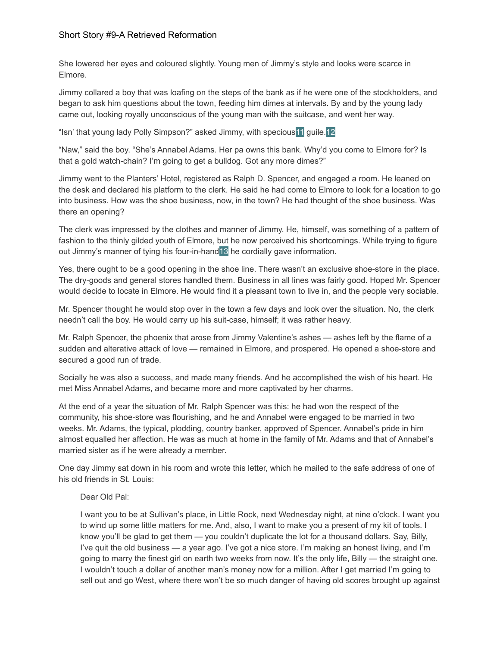#### Short Story #9-A Retrieved Reformation

She lowered her eyes and coloured slightly. Young men of Jimmy's style and looks were scarce in Elmore.

Jimmy collared a boy that was loafing on the steps of the bank as if he were one of the stockholders, and began to ask him questions about the town, feeding him dimes at intervals. By and by the young lady came out, looking royally unconscious of the young man with the suitcase, and went her way.

"Isn' that young lady Polly Simpson?" asked Jimmy, with specious11 guile.12

"Naw," said the boy. "She's Annabel Adams. Her pa owns this bank. Why'd you come to Elmore for? Is that a gold watch-chain? I'm going to get a bulldog. Got any more dimes?"

Jimmy went to the Planters' Hotel, registered as Ralph D. Spencer, and engaged a room. He leaned on the desk and declared his platform to the clerk. He said he had come to Elmore to look for a location to go into business. How was the shoe business, now, in the town? He had thought of the shoe business. Was there an opening?

The clerk was impressed by the clothes and manner of Jimmy. He, himself, was something of a pattern of fashion to the thinly gilded youth of Elmore, but he now perceived his shortcomings. While trying to figure out Jimmy's manner of tying his four-in-hand<sup>13</sup> he cordially gave information.

Yes, there ought to be a good opening in the shoe line. There wasn't an exclusive shoe-store in the place. The dry-goods and general stores handled them. Business in all lines was fairly good. Hoped Mr. Spencer would decide to locate in Elmore. He would find it a pleasant town to live in, and the people very sociable.

Mr. Spencer thought he would stop over in the town a few days and look over the situation. No, the clerk needn't call the boy. He would carry up his suit-case, himself; it was rather heavy.

Mr. Ralph Spencer, the phoenix that arose from Jimmy Valentine's ashes — ashes left by the flame of a sudden and alterative attack of love — remained in Elmore, and prospered. He opened a shoe-store and secured a good run of trade.

Socially he was also a success, and made many friends. And he accomplished the wish of his heart. He met Miss Annabel Adams, and became more and more captivated by her charms.

At the end of a year the situation of Mr. Ralph Spencer was this: he had won the respect of the community, his shoe-store was flourishing, and he and Annabel were engaged to be married in two weeks. Mr. Adams, the typical, plodding, country banker, approved of Spencer. Annabel's pride in him almost equalled her affection. He was as much at home in the family of Mr. Adams and that of Annabel's married sister as if he were already a member.

One day Jimmy sat down in his room and wrote this letter, which he mailed to the safe address of one of his old friends in St. Louis:

#### Dear Old Pal:

I want you to be at Sullivan's place, in Little Rock, next Wednesday night, at nine o'clock. I want you to wind up some little matters for me. And, also, I want to make you a present of my kit of tools. I know you'll be glad to get them — you couldn't duplicate the lot for a thousand dollars. Say, Billy, I've quit the old business — a year ago. I've got a nice store. I'm making an honest living, and I'm going to marry the finest girl on earth two weeks from now. It's the only life, Billy — the straight one. I wouldn't touch a dollar of another man's money now for a million. After I get married I'm going to sell out and go West, where there won't be so much danger of having old scores brought up against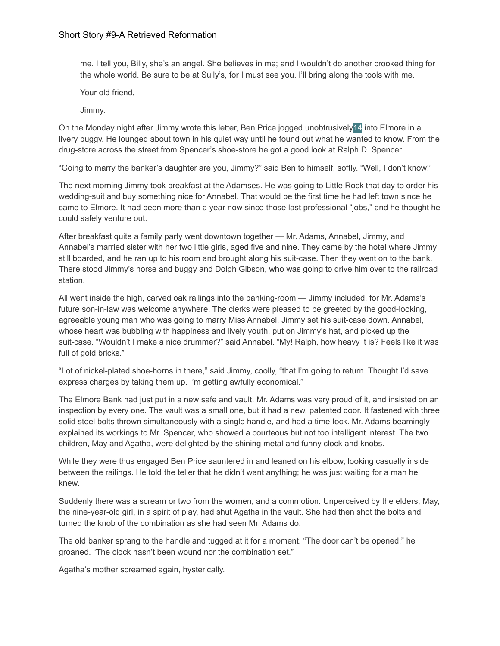me. I tell you, Billy, she's an angel. She believes in me; and I wouldn't do another crooked thing for the whole world. Be sure to be at Sully's, for I must see you. I'll bring along the tools with me.

Your old friend,

Jimmy.

On the Monday night after Jimmy wrote this letter, Ben Price jogged unobtrusively14 into Elmore in a livery buggy. He lounged about town in his quiet way until he found out what he wanted to know. From the drug-store across the street from Spencer's shoe-store he got a good look at Ralph D. Spencer.

"Going to marry the banker's daughter are you, Jimmy?" said Ben to himself, softly. "Well, I don't know!"

The next morning Jimmy took breakfast at the Adamses. He was going to Little Rock that day to order his wedding-suit and buy something nice for Annabel. That would be the first time he had left town since he came to Elmore. It had been more than a year now since those last professional "jobs," and he thought he could safely venture out.

After breakfast quite a family party went downtown together — Mr. Adams, Annabel, Jimmy, and Annabel's married sister with her two little girls, aged five and nine. They came by the hotel where Jimmy still boarded, and he ran up to his room and brought along his suit-case. Then they went on to the bank. There stood Jimmy's horse and buggy and Dolph Gibson, who was going to drive him over to the railroad station.

All went inside the high, carved oak railings into the banking-room — Jimmy included, for Mr. Adams's future son-in-law was welcome anywhere. The clerks were pleased to be greeted by the good-looking, agreeable young man who was going to marry Miss Annabel. Jimmy set his suit-case down. Annabel, whose heart was bubbling with happiness and lively youth, put on Jimmy's hat, and picked up the suit-case. "Wouldn't I make a nice drummer?" said Annabel. "My! Ralph, how heavy it is? Feels like it was full of gold bricks."

"Lot of nickel-plated shoe-horns in there," said Jimmy, coolly, "that I'm going to return. Thought I'd save express charges by taking them up. I'm getting awfully economical."

The Elmore Bank had just put in a new safe and vault. Mr. Adams was very proud of it, and insisted on an inspection by every one. The vault was a small one, but it had a new, patented door. It fastened with three solid steel bolts thrown simultaneously with a single handle, and had a time-lock. Mr. Adams beamingly explained its workings to Mr. Spencer, who showed a courteous but not too intelligent interest. The two children, May and Agatha, were delighted by the shining metal and funny clock and knobs.

While they were thus engaged Ben Price sauntered in and leaned on his elbow, looking casually inside between the railings. He told the teller that he didn't want anything; he was just waiting for a man he knew.

Suddenly there was a scream or two from the women, and a commotion. Unperceived by the elders, May, the nine-year-old girl, in a spirit of play, had shut Agatha in the vault. She had then shot the bolts and turned the knob of the combination as she had seen Mr. Adams do.

The old banker sprang to the handle and tugged at it for a moment. "The door can't be opened," he groaned. "The clock hasn't been wound nor the combination set."

Agatha's mother screamed again, hysterically.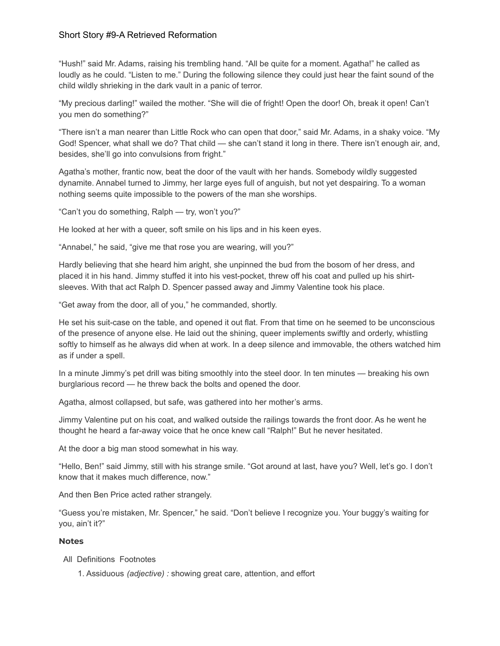#### Short Story #9-A Retrieved Reformation

"Hush!" said Mr. Adams, raising his trembling hand. "All be quite for a moment. Agatha!" he called as loudly as he could. "Listen to me." During the following silence they could just hear the faint sound of the child wildly shrieking in the dark vault in a panic of terror.

"My precious darling!" wailed the mother. "She will die of fright! Open the door! Oh, break it open! Can't you men do something?"

"There isn't a man nearer than Little Rock who can open that door," said Mr. Adams, in a shaky voice. "My God! Spencer, what shall we do? That child — she can't stand it long in there. There isn't enough air, and, besides, she'll go into convulsions from fright."

Agatha's mother, frantic now, beat the door of the vault with her hands. Somebody wildly suggested dynamite. Annabel turned to Jimmy, her large eyes full of anguish, but not yet despairing. To a woman nothing seems quite impossible to the powers of the man she worships.

"Can't you do something, Ralph — try, won't you?"

He looked at her with a queer, soft smile on his lips and in his keen eyes.

"Annabel," he said, "give me that rose you are wearing, will you?"

Hardly believing that she heard him aright, she unpinned the bud from the bosom of her dress, and placed it in his hand. Jimmy stuffed it into his vest-pocket, threw off his coat and pulled up his shirtsleeves. With that act Ralph D. Spencer passed away and Jimmy Valentine took his place.

"Get away from the door, all of you," he commanded, shortly.

He set his suit-case on the table, and opened it out flat. From that time on he seemed to be unconscious of the presence of anyone else. He laid out the shining, queer implements swiftly and orderly, whistling softly to himself as he always did when at work. In a deep silence and immovable, the others watched him as if under a spell.

In a minute Jimmy's pet drill was biting smoothly into the steel door. In ten minutes — breaking his own burglarious record — he threw back the bolts and opened the door.

Agatha, almost collapsed, but safe, was gathered into her mother's arms.

Jimmy Valentine put on his coat, and walked outside the railings towards the front door. As he went he thought he heard a far-away voice that he once knew call "Ralph!" But he never hesitated.

At the door a big man stood somewhat in his way.

"Hello, Ben!" said Jimmy, still with his strange smile. "Got around at last, have you? Well, let's go. I don't know that it makes much difference, now."

And then Ben Price acted rather strangely.

"Guess you're mistaken, Mr. Spencer," he said. "Don't believe I recognize you. Your buggy's waiting for you, ain't it?"

#### **Notes**

- All Definitions Footnotes
	- 1. Assiduous *(adjective) :* showing great care, attention, and effort